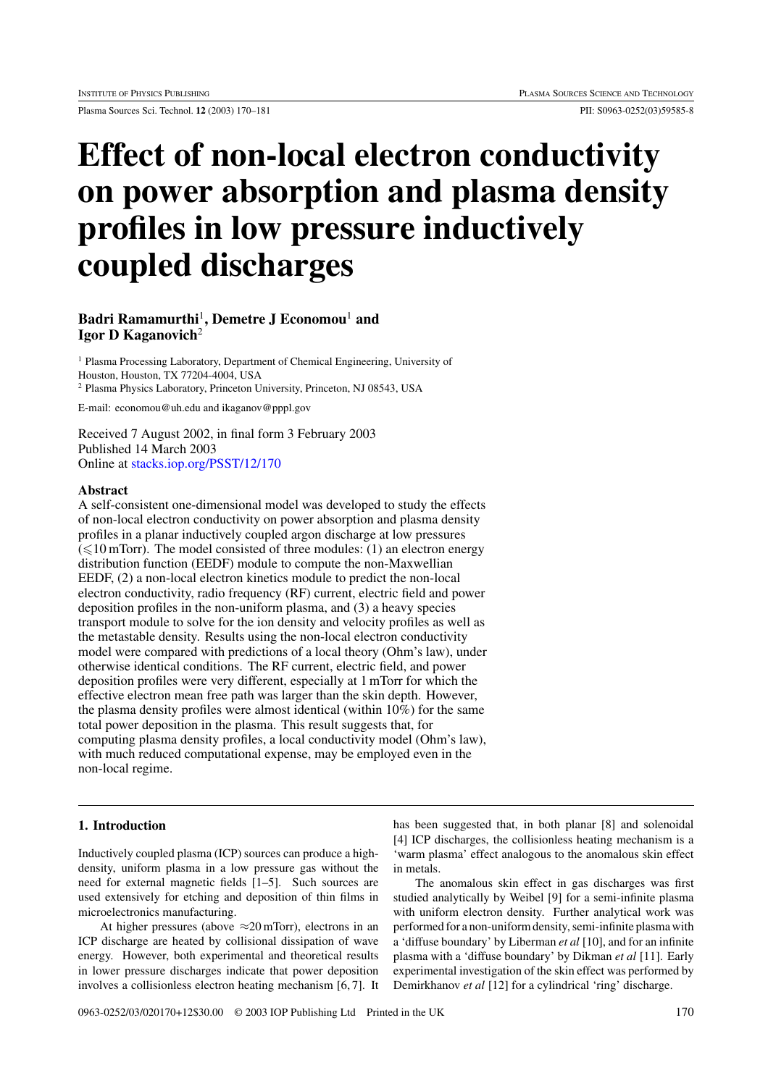Plasma Sources Sci. Technol. **12** (2003) 170–181 PII: S0963-0252(03)59585-8

# **Effect of non-local electron conductivity on power absorption and plasma density profiles in low pressure inductively coupled discharges**

# **Badri Ramamurthi**<sup>1</sup>**, Demetre J Economou**<sup>1</sup> **and Igor D Kaganovich**<sup>2</sup>

<sup>1</sup> Plasma Processing Laboratory, Department of Chemical Engineering, University of Houston, Houston, TX 77204-4004, USA <sup>2</sup> Plasma Physics Laboratory, Princeton University, Princeton, NJ 08543, USA

E-mail: economou@uh.edu and ikaganov@pppl.gov

Received 7 August 2002, in final form 3 February 2003 Published 14 March 2003 Online at [stacks.iop.org/PSST/12/170](http://stacks.iop.org/ps/12/170)

#### **Abstract**

A self-consistent one-dimensional model was developed to study the effects of non-local electron conductivity on power absorption and plasma density profiles in a planar inductively coupled argon discharge at low pressures  $(\leq 10$  mTorr). The model consisted of three modules: (1) an electron energy distribution function (EEDF) module to compute the non-Maxwellian EEDF, (2) a non-local electron kinetics module to predict the non-local electron conductivity, radio frequency (RF) current, electric field and power deposition profiles in the non-uniform plasma, and (3) a heavy species transport module to solve for the ion density and velocity profiles as well as the metastable density. Results using the non-local electron conductivity model were compared with predictions of a local theory (Ohm's law), under otherwise identical conditions. The RF current, electric field, and power deposition profiles were very different, especially at 1 mTorr for which the effective electron mean free path was larger than the skin depth. However, the plasma density profiles were almost identical (within 10%) for the same total power deposition in the plasma. This result suggests that, for computing plasma density profiles, a local conductivity model (Ohm's law), with much reduced computational expense, may be employed even in the non-local regime.

### **1. Introduction**

Inductively coupled plasma (ICP) sources can produce a highdensity, uniform plasma in a low pressure gas without the need for external magnetic fields [1–5]. Such sources are used extensively for etching and deposition of thin films in microelectronics manufacturing.

At higher pressures (above  $\approx$ 20 mTorr), electrons in an ICP discharge are heated by collisional dissipation of wave energy. However, both experimental and theoretical results in lower pressure discharges indicate that power deposition involves a collisionless electron heating mechanism [6, 7]. It

has been suggested that, in both planar [8] and solenoidal [4] ICP discharges, the collisionless heating mechanism is a 'warm plasma' effect analogous to the anomalous skin effect in metals.

The anomalous skin effect in gas discharges was first studied analytically by Weibel [9] for a semi-infinite plasma with uniform electron density. Further analytical work was performed for a non-uniform density, semi-infinite plasma with a 'diffuse boundary' by Liberman *et al* [10], and for an infinite plasma with a 'diffuse boundary' by Dikman *et al* [11]. Early experimental investigation of the skin effect was performed by Demirkhanov *et al* [12] for a cylindrical 'ring' discharge.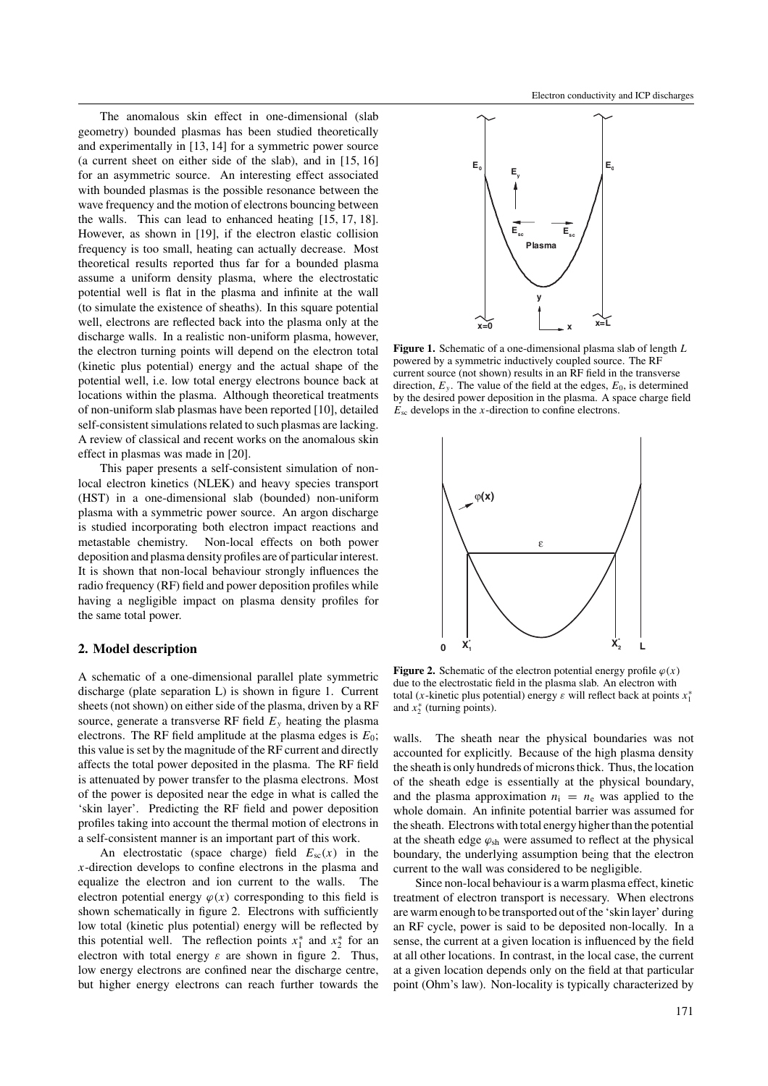The anomalous skin effect in one-dimensional (slab geometry) bounded plasmas has been studied theoretically and experimentally in [13, 14] for a symmetric power source (a current sheet on either side of the slab), and in [15, 16] for an asymmetric source. An interesting effect associated with bounded plasmas is the possible resonance between the wave frequency and the motion of electrons bouncing between the walls. This can lead to enhanced heating [15, 17, 18]. However, as shown in [19], if the electron elastic collision frequency is too small, heating can actually decrease. Most theoretical results reported thus far for a bounded plasma assume a uniform density plasma, where the electrostatic potential well is flat in the plasma and infinite at the wall (to simulate the existence of sheaths). In this square potential well, electrons are reflected back into the plasma only at the discharge walls. In a realistic non-uniform plasma, however, the electron turning points will depend on the electron total (kinetic plus potential) energy and the actual shape of the potential well, i.e. low total energy electrons bounce back at locations within the plasma. Although theoretical treatments of non-uniform slab plasmas have been reported [10], detailed self-consistent simulations related to such plasmas are lacking. A review of classical and recent works on the anomalous skin effect in plasmas was made in [20].

This paper presents a self-consistent simulation of nonlocal electron kinetics (NLEK) and heavy species transport (HST) in a one-dimensional slab (bounded) non-uniform plasma with a symmetric power source. An argon discharge is studied incorporating both electron impact reactions and metastable chemistry. Non-local effects on both power deposition and plasma density profiles are of particular interest. It is shown that non-local behaviour strongly influences the radio frequency (RF) field and power deposition profiles while having a negligible impact on plasma density profiles for the same total power.

#### **2. Model description**

A schematic of a one-dimensional parallel plate symmetric discharge (plate separation L) is shown in figure 1. Current sheets (not shown) on either side of the plasma, driven by a RF source, generate a transverse RF field  $E<sub>v</sub>$  heating the plasma electrons. The RF field amplitude at the plasma edges is  $E_0$ ; this value is set by the magnitude of the RF current and directly affects the total power deposited in the plasma. The RF field is attenuated by power transfer to the plasma electrons. Most of the power is deposited near the edge in what is called the 'skin layer'. Predicting the RF field and power deposition profiles taking into account the thermal motion of electrons in a self-consistent manner is an important part of this work.

An electrostatic (space charge) field  $E_{\rm sc}(x)$  in the *x*-direction develops to confine electrons in the plasma and equalize the electron and ion current to the walls. The electron potential energy  $\varphi(x)$  corresponding to this field is shown schematically in figure 2. Electrons with sufficiently low total (kinetic plus potential) energy will be reflected by this potential well. The reflection points  $x_1^*$  and  $x_2^*$  for an electron with total energy  $\varepsilon$  are shown in figure 2. Thus, low energy electrons are confined near the discharge centre, but higher energy electrons can reach further towards the



**Figure 1.** Schematic of a one-dimensional plasma slab of length *L* powered by a symmetric inductively coupled source. The RF current source (not shown) results in an RF field in the transverse direction,  $E_y$ . The value of the field at the edges,  $E_0$ , is determined by the desired power deposition in the plasma. A space charge field  $E_{\rm sc}$  develops in the *x*-direction to confine electrons.



**Figure 2.** Schematic of the electron potential energy profile  $\varphi(x)$ due to the electrostatic field in the plasma slab. An electron with total (*x*-kinetic plus potential) energy *ε* will reflect back at points *x*<sup>∗</sup> 1 and  $x_2^*$  (turning points).

walls. The sheath near the physical boundaries was not accounted for explicitly. Because of the high plasma density the sheath is only hundreds of microns thick. Thus, the location of the sheath edge is essentially at the physical boundary, and the plasma approximation  $n_i = n_e$  was applied to the whole domain. An infinite potential barrier was assumed for the sheath. Electrons with total energy higher than the potential at the sheath edge  $\varphi_{sh}$  were assumed to reflect at the physical boundary, the underlying assumption being that the electron current to the wall was considered to be negligible.

Since non-local behaviour is a warm plasma effect, kinetic treatment of electron transport is necessary. When electrons are warm enough to be transported out of the 'skin layer' during an RF cycle, power is said to be deposited non-locally. In a sense, the current at a given location is influenced by the field at all other locations. In contrast, in the local case, the current at a given location depends only on the field at that particular point (Ohm's law). Non-locality is typically characterized by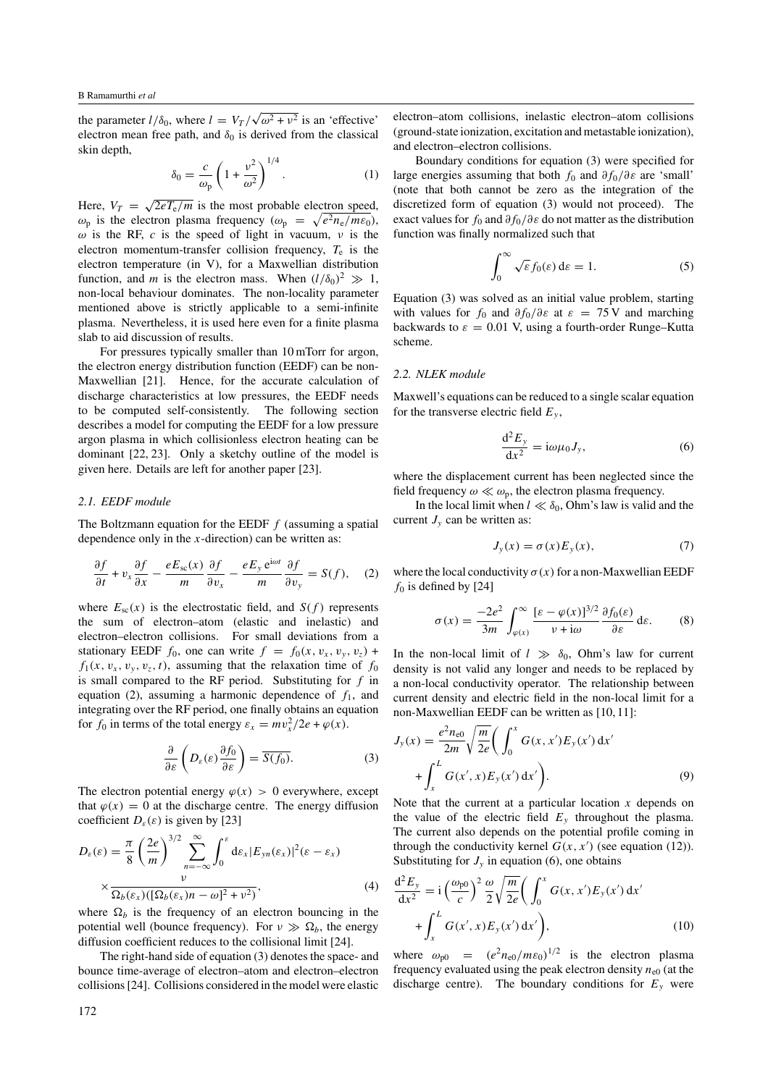the parameter  $l/\delta_0$ , where  $l = V_T / \sqrt{\omega^2 + v^2}$  is an 'effective' electron mean free path, and  $\delta_0$  is derived from the classical skin depth,

$$
\delta_0 = \frac{c}{\omega_{\rm p}} \left( 1 + \frac{v^2}{\omega^2} \right)^{1/4} . \tag{1}
$$

Here,  $V_T = \sqrt{2eT_e/m}$  is the most probable electron speed,  $\omega_{\rm p}$  is the electron plasma frequency ( $\omega_{\rm p} = \sqrt{e^2 n_{\rm e}/m \epsilon_0}$ ),  $\omega$  is the RF, *c* is the speed of light in vacuum, *ν* is the electron momentum-transfer collision frequency, *T*<sup>e</sup> is the electron temperature (in V), for a Maxwellian distribution function, and *m* is the electron mass. When  $(l/\delta_0)^2 \gg 1$ , non-local behaviour dominates. The non-locality parameter mentioned above is strictly applicable to a semi-infinite plasma. Nevertheless, it is used here even for a finite plasma slab to aid discussion of results.

For pressures typically smaller than 10 mTorr for argon, the electron energy distribution function (EEDF) can be non-Maxwellian [21]. Hence, for the accurate calculation of discharge characteristics at low pressures, the EEDF needs to be computed self-consistently. The following section describes a model for computing the EEDF for a low pressure argon plasma in which collisionless electron heating can be dominant [22, 23]. Only a sketchy outline of the model is given here. Details are left for another paper [23].

#### *2.1. EEDF module*

The Boltzmann equation for the EEDF *f* (assuming a spatial dependence only in the *x*-direction) can be written as:

$$
\frac{\partial f}{\partial t} + v_x \frac{\partial f}{\partial x} - \frac{eE_{sc}(x)}{m} \frac{\partial f}{\partial v_x} - \frac{eE_y e^{i\omega t}}{m} \frac{\partial f}{\partial v_y} = S(f), \quad (2)
$$

where  $E_{sc}(x)$  is the electrostatic field, and  $S(f)$  represents the sum of electron–atom (elastic and inelastic) and electron–electron collisions. For small deviations from a stationary EEDF  $f_0$ , one can write  $f = f_0(x, v_x, v_y, v_z)$  +  $f_1(x, v_x, v_y, v_z, t)$ , assuming that the relaxation time of  $f_0$ is small compared to the RF period. Substituting for *f* in equation (2), assuming a harmonic dependence of  $f_1$ , and integrating over the RF period, one finally obtains an equation for  $f_0$  in terms of the total energy  $\varepsilon_x = mv_x^2/2e + \varphi(x)$ .

$$
\frac{\partial}{\partial \varepsilon} \left( D_{\varepsilon}(\varepsilon) \frac{\partial f_0}{\partial \varepsilon} \right) = \overline{S(f_0)}.
$$
 (3)

The electron potential energy  $\varphi(x) > 0$  everywhere, except that  $\varphi(x) = 0$  at the discharge centre. The energy diffusion coefficient  $D_{\varepsilon}(\varepsilon)$  is given by [23]

$$
D_{\varepsilon}(\varepsilon) = \frac{\pi}{8} \left( \frac{2e}{m} \right)^{3/2} \sum_{n=-\infty}^{\infty} \int_{0}^{\varepsilon} d\varepsilon_{x} |E_{yn}(\varepsilon_{x})|^{2} (\varepsilon - \varepsilon_{x})
$$

$$
\times \frac{\nu}{\Omega_{b}(\varepsilon_{x}) \left( [\Omega_{b}(\varepsilon_{x})n - \omega]^{2} + \nu^{2} \right)},
$$
(4)

where  $\Omega_b$  is the frequency of an electron bouncing in the potential well (bounce frequency). For  $\nu \gg \Omega_b$ , the energy diffusion coefficient reduces to the collisional limit [24].

The right-hand side of equation (3) denotes the space- and bounce time-average of electron–atom and electron–electron collisions [24]. Collisions considered in the model were elastic electron–atom collisions, inelastic electron–atom collisions (ground-state ionization, excitation and metastable ionization), and electron–electron collisions.

Boundary conditions for equation (3) were specified for large energies assuming that both *f*<sup>0</sup> and *∂f*0*/∂ε* are 'small' (note that both cannot be zero as the integration of the discretized form of equation (3) would not proceed). The exact values for *f*<sup>0</sup> and *∂f*0*/∂ε* do not matter as the distribution function was finally normalized such that

$$
\int_0^\infty \sqrt{\varepsilon} f_0(\varepsilon) \, \mathrm{d}\varepsilon = 1. \tag{5}
$$

Equation (3) was solved as an initial value problem, starting with values for  $f_0$  and  $\partial f_0 / \partial \varepsilon$  at  $\varepsilon = 75$  V and marching backwards to  $\varepsilon = 0.01$  V, using a fourth-order Runge–Kutta scheme.

## *2.2. NLEK module*

Maxwell's equations can be reduced to a single scalar equation for the transverse electric field  $E_y$ ,

$$
\frac{\mathrm{d}^2 E_y}{\mathrm{d} x^2} = \mathrm{i} \omega \mu_0 J_y,\tag{6}
$$

where the displacement current has been neglected since the field frequency  $\omega \ll \omega_{\rm p}$ , the electron plasma frequency.

In the local limit when  $l \ll \delta_0$ , Ohm's law is valid and the current  $J_{v}$  can be written as:

$$
J_y(x) = \sigma(x) E_y(x), \tag{7}
$$

where the local conductivity  $\sigma(x)$  for a non-Maxwellian EEDF  $f_0$  is defined by [24]

$$
\sigma(x) = \frac{-2e^2}{3m} \int_{\varphi(x)}^{\infty} \frac{[\varepsilon - \varphi(x)]^{3/2}}{v + i\omega} \frac{\partial f_0(\varepsilon)}{\partial \varepsilon} d\varepsilon.
$$
 (8)

In the non-local limit of  $l \gg \delta_0$ , Ohm's law for current density is not valid any longer and needs to be replaced by a non-local conductivity operator. The relationship between current density and electric field in the non-local limit for a non-Maxwellian EEDF can be written as [10, 11]:

$$
J_{y}(x) = \frac{e^{2}n_{e0}}{2m} \sqrt{\frac{m}{2e}} \left( \int_{0}^{x} G(x, x') E_{y}(x') dx' + \int_{x}^{L} G(x', x) E_{y}(x') dx' \right).
$$
 (9)

Note that the current at a particular location *x* depends on the value of the electric field  $E_y$  throughout the plasma. The current also depends on the potential profile coming in through the conductivity kernel  $G(x, x')$  (see equation (12)). Substituting for  $J_{y}$  in equation (6), one obtains

$$
\frac{d^2 E_y}{dx^2} = i \left(\frac{\omega_{p0}}{c}\right)^2 \frac{\omega}{2} \sqrt{\frac{m}{2e}} \left(\int_0^x G(x, x') E_y(x') dx' + \int_x^L G(x', x) E_y(x') dx'\right),
$$
\n(10)

where  $\omega_{p0} = (e^2 n_{e0}/m \varepsilon_0)^{1/2}$  is the electron plasma frequency evaluated using the peak electron density  $n_{e0}$  (at the discharge centre). The boundary conditions for  $E_y$  were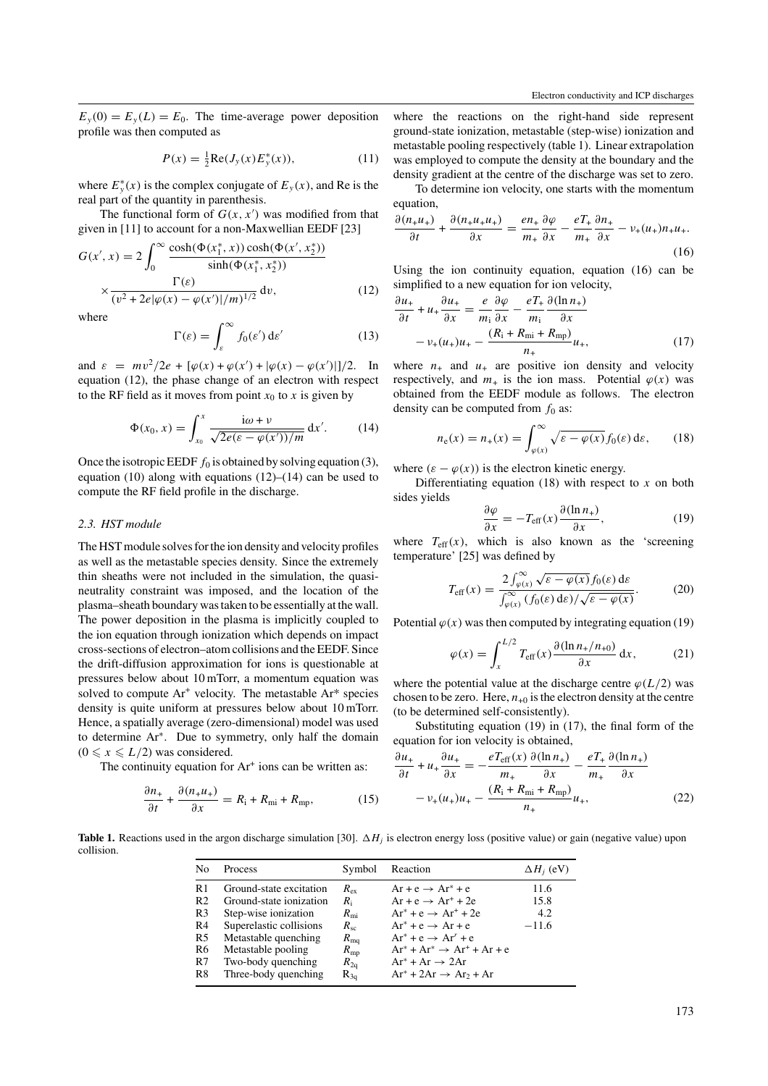$E_y(0) = E_y(L) = E_0$ . The time-average power deposition profile was then computed as

$$
P(x) = \frac{1}{2} \text{Re}(J_y(x) E_y^*(x)), \tag{11}
$$

where  $E_y^*(x)$  is the complex conjugate of  $E_y(x)$ , and Re is the real part of the quantity in parenthesis.

The functional form of  $G(x, x')$  was modified from that given in [11] to account for a non-Maxwellian EEDF [23]

$$
G(x', x) = 2 \int_0^\infty \frac{\cosh(\Phi(x_1^*, x)) \cosh(\Phi(x', x_2^*))}{\sinh(\Phi(x_1^*, x_2^*))} \times \frac{\Gamma(\varepsilon)}{(v^2 + 2e|\varphi(x) - \varphi(x')|/m)^{1/2}} dv,
$$
\n(12)

where

$$
\Gamma(\varepsilon) = \int_{\varepsilon}^{\infty} f_0(\varepsilon') \, \mathrm{d}\varepsilon' \tag{13}
$$

and  $\varepsilon = mv^2/2e + [\varphi(x) + \varphi(x') + |\varphi(x) - \varphi(x')|]/2.$  In equation (12), the phase change of an electron with respect to the RF field as it moves from point  $x_0$  to  $x$  is given by

$$
\Phi(x_0, x) = \int_{x_0}^x \frac{i\omega + \nu}{\sqrt{2e(\varepsilon - \varphi(x'))/m}} dx'. \quad (14)
$$

Once the isotropic EEDF  $f_0$  is obtained by solving equation (3), equation (10) along with equations  $(12)$ – $(14)$  can be used to compute the RF field profile in the discharge.

#### *2.3. HST module*

The HST module solves for the ion density and velocity profiles as well as the metastable species density. Since the extremely thin sheaths were not included in the simulation, the quasineutrality constraint was imposed, and the location of the plasma–sheath boundary was taken to be essentially at the wall. The power deposition in the plasma is implicitly coupled to the ion equation through ionization which depends on impact cross-sections of electron–atom collisions and the EEDF. Since the drift-diffusion approximation for ions is questionable at pressures below about 10 mTorr, a momentum equation was solved to compute  $Ar^+$  velocity. The metastable  $Ar^*$  species density is quite uniform at pressures below about 10 mTorr. Hence, a spatially average (zero-dimensional) model was used to determine Ar∗. Due to symmetry, only half the domain  $(0 \le x \le L/2)$  was considered.

The continuity equation for  $Ar^+$  ions can be written as:

$$
\frac{\partial n_+}{\partial t} + \frac{\partial (n_+ u_+)}{\partial x} = R_{\rm i} + R_{\rm mi} + R_{\rm mp},\tag{15}
$$

where the reactions on the right-hand side represent ground-state ionization, metastable (step-wise) ionization and metastable pooling respectively (table 1). Linear extrapolation was employed to compute the density at the boundary and the density gradient at the centre of the discharge was set to zero.

To determine ion velocity, one starts with the momentum equation,

$$
\frac{\partial (n_+ u_+)}{\partial t} + \frac{\partial (n_+ u_+ u_+)}{\partial x} = \frac{en_+}{m_+} \frac{\partial \varphi}{\partial x} - \frac{eT_+}{m_+} \frac{\partial n_+}{\partial x} - \nu_+ (u_+) n_+ u_+.
$$
\n(16)

Using the ion continuity equation, equation (16) can be simplified to a new equation for ion velocity,

$$
\frac{\partial u_+}{\partial t} + u_+ \frac{\partial u_+}{\partial x} = \frac{e}{m_i} \frac{\partial \varphi}{\partial x} - \frac{eT_+}{m_i} \frac{\partial (\ln n_+)}{\partial x}
$$

$$
- v_+ (u_+) u_+ - \frac{(R_1 + R_{\rm mi} + R_{\rm mp})}{n_+} u_+, \tag{17}
$$

where  $n_{+}$  and  $u_{+}$  are positive ion density and velocity respectively, and  $m_+$  is the ion mass. Potential  $\varphi(x)$  was obtained from the EEDF module as follows. The electron density can be computed from  $f_0$  as:

$$
n_{\rm e}(x) = n_{+}(x) = \int_{\varphi(x)}^{\infty} \sqrt{\varepsilon - \varphi(x)} f_0(\varepsilon) \, \mathrm{d}\varepsilon, \qquad (18)
$$

where  $(\varepsilon - \varphi(x))$  is the electron kinetic energy.

Differentiating equation (18) with respect to *x* on both sides yields

$$
\frac{\partial \varphi}{\partial x} = -T_{\text{eff}}(x) \frac{\partial (\ln n_+)}{\partial x},\tag{19}
$$

where  $T_{\text{eff}}(x)$ , which is also known as the 'screening temperature' [25] was defined by

$$
T_{\text{eff}}(x) = \frac{2 \int_{\varphi(x)}^{\infty} \sqrt{\varepsilon - \varphi(x)} f_0(\varepsilon) \, \mathrm{d}\varepsilon}{\int_{\varphi(x)}^{\infty} (f_0(\varepsilon) \, \mathrm{d}\varepsilon) / \sqrt{\varepsilon - \varphi(x)}}.
$$
 (20)

Potential  $\varphi(x)$  was then computed by integrating equation (19)

$$
\varphi(x) = \int_{x}^{L/2} T_{\text{eff}}(x) \frac{\partial (\ln n_{+}/n_{+0})}{\partial x} dx, \tag{21}
$$

where the potential value at the discharge centre  $\varphi(L/2)$  was chosen to be zero. Here,  $n_{+0}$  is the electron density at the centre (to be determined self-consistently).

Substituting equation (19) in (17), the final form of the equation for ion velocity is obtained,

$$
\frac{\partial u_+}{\partial t} + u_+ \frac{\partial u_+}{\partial x} = -\frac{eT_{\text{eff}}(x)}{m_+} \frac{\partial (\ln n_+)}{\partial x} - \frac{eT_+}{m_+} \frac{\partial (\ln n_+)}{\partial x}
$$

$$
-v_+(u_+)u_+ - \frac{(R_1 + R_{\text{mi}} + R_{\text{mp}})}{n_+} u_+, \tag{22}
$$

**Table 1.** Reactions used in the argon discharge simulation [30]. *Hj* is electron energy loss (positive value) or gain (negative value) upon collision.

| N <sub>o</sub> | Process                 | Symbol          | Reaction                                | $\Delta H_i$ (eV) |
|----------------|-------------------------|-----------------|-----------------------------------------|-------------------|
| R <sub>1</sub> | Ground-state excitation | $R_{\rm ex}$    | $Ar + e \rightarrow Ar^* + e$           | 11.6              |
| R <sub>2</sub> | Ground-state ionization | $R_i$           | $Ar + e \rightarrow Ar^+ + 2e$          | 15.8              |
| R <sub>3</sub> | Step-wise ionization    | $R_{\rm mi}$    | $Ar^* + e \rightarrow Ar^* + 2e$        | 4.2               |
| R4             | Superelastic collisions | $R_{sc}$        | $Ar^* + e \rightarrow Ar + e$           | $-11.6$           |
| R <sub>5</sub> | Metastable quenching    | $R_{\text{mq}}$ | $Ar^* + e \rightarrow Ar^r + e$         |                   |
| R <sub>6</sub> | Metastable pooling      | $R_{\rm mp}$    | $Ar^* + Ar^* \rightarrow Ar^* + Ar + e$ |                   |
| R7             | Two-body quenching      | $R_{2q}$        | $Ar^* + Ar \rightarrow 2Ar$             |                   |
| R <sup>8</sup> | Three-body quenching    | $R_{3a}$        | $Ar^* + 2Ar \rightarrow Ar_2 + Ar$      |                   |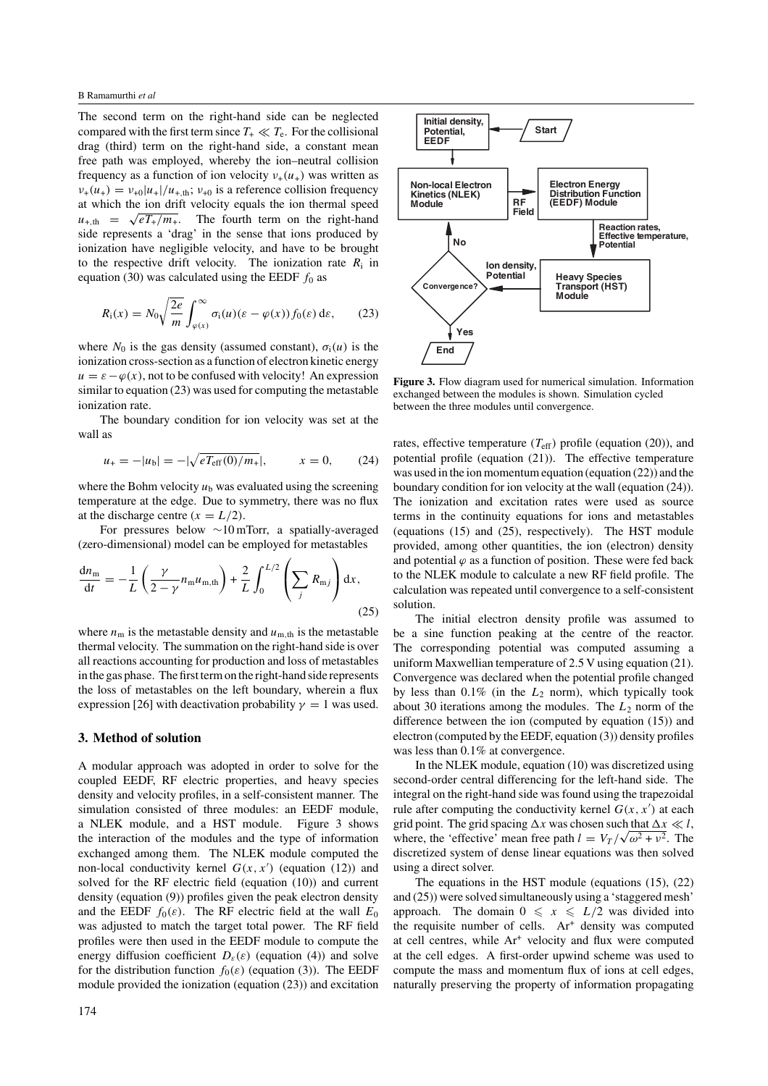The second term on the right-hand side can be neglected compared with the first term since  $T_{+} \ll T_{e}$ . For the collisional drag (third) term on the right-hand side, a constant mean free path was employed, whereby the ion–neutral collision frequency as a function of ion velocity  $v_+(u_+)$  was written as  $v_{+}(u_{+}) = v_{+0}|u_{+}|/u_{+,\text{th}}$ ;  $v_{+0}$  is a reference collision frequency at which the ion drift velocity equals the ion thermal speed  $u_{+,th} = \sqrt{eT_{+}/m_{+}}$ . The fourth term on the right-hand side represents a 'drag' in the sense that ions produced by ionization have negligible velocity, and have to be brought to the respective drift velocity. The ionization rate  $R_i$  in equation (30) was calculated using the EEDF  $f_0$  as

$$
R_{\rm i}(x) = N_0 \sqrt{\frac{2e}{m}} \int_{\varphi(x)}^{\infty} \sigma_{\rm i}(u) (\varepsilon - \varphi(x)) f_0(\varepsilon) \, \mathrm{d}\varepsilon, \tag{23}
$$

where  $N_0$  is the gas density (assumed constant),  $\sigma_i(u)$  is the ionization cross-section as a function of electron kinetic energy  $u = \varepsilon - \varphi(x)$ , not to be confused with velocity! An expression similar to equation (23) was used for computing the metastable ionization rate.

The boundary condition for ion velocity was set at the wall as

$$
u_{+} = -|u_{b}| = -|\sqrt{eT_{\text{eff}}(0)/m_{+}}|, \qquad x = 0, \qquad (24)
$$

where the Bohm velocity  $u<sub>b</sub>$  was evaluated using the screening temperature at the edge. Due to symmetry, there was no flux at the discharge centre  $(x = L/2)$ .

For pressures below ∼10 mTorr, a spatially-averaged (zero-dimensional) model can be employed for metastables

$$
\frac{dn_m}{dt} = -\frac{1}{L} \left( \frac{\gamma}{2 - \gamma} n_m u_{m,th} \right) + \frac{2}{L} \int_0^{L/2} \left( \sum_j R_{mj} \right) dx,
$$
\n(25)

where  $n_m$  is the metastable density and  $u_{m,th}$  is the metastable thermal velocity. The summation on the right-hand side is over all reactions accounting for production and loss of metastables in the gas phase. The first term on the right-hand side represents the loss of metastables on the left boundary, wherein a flux expression [26] with deactivation probability  $\gamma = 1$  was used.

#### **3. Method of solution**

A modular approach was adopted in order to solve for the coupled EEDF, RF electric properties, and heavy species density and velocity profiles, in a self-consistent manner. The simulation consisted of three modules: an EEDF module, a NLEK module, and a HST module. Figure 3 shows the interaction of the modules and the type of information exchanged among them. The NLEK module computed the non-local conductivity kernel  $G(x, x')$  (equation (12)) and solved for the RF electric field (equation (10)) and current density (equation (9)) profiles given the peak electron density and the EEDF  $f_0(\varepsilon)$ . The RF electric field at the wall  $E_0$ was adjusted to match the target total power. The RF field profiles were then used in the EEDF module to compute the energy diffusion coefficient  $D_{\varepsilon}(\varepsilon)$  (equation (4)) and solve for the distribution function  $f_0(\varepsilon)$  (equation (3)). The EEDF module provided the ionization (equation (23)) and excitation



**Figure 3.** Flow diagram used for numerical simulation. Information exchanged between the modules is shown. Simulation cycled between the three modules until convergence.

rates, effective temperature  $(T_{\text{eff}})$  profile (equation (20)), and potential profile (equation (21)). The effective temperature was used in the ion momentum equation (equation (22)) and the boundary condition for ion velocity at the wall (equation (24)). The ionization and excitation rates were used as source terms in the continuity equations for ions and metastables (equations (15) and (25), respectively). The HST module provided, among other quantities, the ion (electron) density and potential  $\varphi$  as a function of position. These were fed back to the NLEK module to calculate a new RF field profile. The calculation was repeated until convergence to a self-consistent solution.

The initial electron density profile was assumed to be a sine function peaking at the centre of the reactor. The corresponding potential was computed assuming a uniform Maxwellian temperature of 2.5 V using equation (21). Convergence was declared when the potential profile changed by less than 0.1% (in the *L*<sup>2</sup> norm), which typically took about 30 iterations among the modules. The *L*<sup>2</sup> norm of the difference between the ion (computed by equation (15)) and electron (computed by the EEDF, equation (3)) density profiles was less than 0.1% at convergence.

In the NLEK module, equation (10) was discretized using second-order central differencing for the left-hand side. The integral on the right-hand side was found using the trapezoidal rule after computing the conductivity kernel  $G(x, x')$  at each grid point. The grid spacing  $\Delta x$  was chosen such that  $\Delta x \ll l$ , where, the 'effective' mean free path  $l = V_T / \sqrt{\omega^2 + v^2}$ . The discretized system of dense linear equations was then solved using a direct solver.

The equations in the HST module (equations (15), (22) and (25)) were solved simultaneously using a 'staggered mesh' approach. The domain  $0 \le x \le L/2$  was divided into the requisite number of cells.  $Ar<sup>+</sup>$  density was computed at cell centres, while Ar<sup>+</sup> velocity and flux were computed at the cell edges. A first-order upwind scheme was used to compute the mass and momentum flux of ions at cell edges, naturally preserving the property of information propagating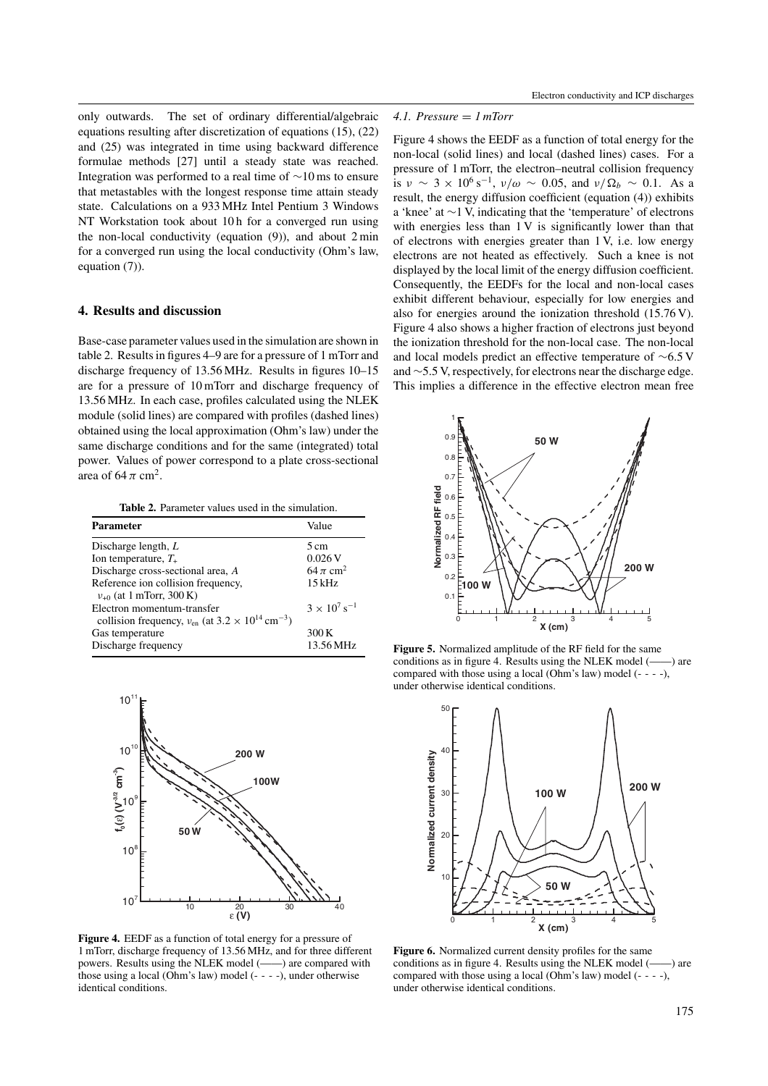only outwards. The set of ordinary differential/algebraic equations resulting after discretization of equations (15), (22) and (25) was integrated in time using backward difference formulae methods [27] until a steady state was reached. Integration was performed to a real time of ∼10 ms to ensure that metastables with the longest response time attain steady state. Calculations on a 933 MHz Intel Pentium 3 Windows NT Workstation took about 10 h for a converged run using the non-local conductivity (equation (9)), and about 2 min for a converged run using the local conductivity (Ohm's law, equation (7)).

## **4. Results and discussion**

Base-case parameter values used in the simulation are shown in table 2. Results in figures 4–9 are for a pressure of 1 mTorr and discharge frequency of 13.56 MHz. Results in figures 10–15 are for a pressure of 10 mTorr and discharge frequency of 13.56 MHz. In each case, profiles calculated using the NLEK module (solid lines) are compared with profiles (dashed lines) obtained using the local approximation (Ohm's law) under the same discharge conditions and for the same (integrated) total power. Values of power correspond to a plate cross-sectional area of  $64 \pi \text{ cm}^2$ .

**Table 2.** Parameter values used in the simulation.

| <b>Parameter</b>                                                                                            | Value                             |
|-------------------------------------------------------------------------------------------------------------|-----------------------------------|
| Discharge length, $L$                                                                                       | $5 \text{ cm}$                    |
| Ion temperature, $T_{+}$                                                                                    | 0.026 V                           |
| Discharge cross-sectional area, A                                                                           | 64 $\pi$ cm <sup>2</sup>          |
| Reference ion collision frequency,<br>$v_{+0}$ (at 1 mTorr, 300 K)                                          | $15$ kHz                          |
| Electron momentum-transfer<br>collision frequency, $v_{\rm en}$ (at $3.2 \times 10^{14}$ cm <sup>-3</sup> ) | $3 \times 10^{7}$ s <sup>-1</sup> |
| Gas temperature<br>Discharge frequency                                                                      | 300 K<br>13.56 MHz                |



**Figure 4.** EEDF as a function of total energy for a pressure of 1 mTorr, discharge frequency of 13.56 MHz, and for three different powers. Results using the NLEK model (——) are compared with those using a local (Ohm's law) model (- - - -), under otherwise identical conditions.

# *4.1. Pressure* = *1 mTorr*

Figure 4 shows the EEDF as a function of total energy for the non-local (solid lines) and local (dashed lines) cases. For a pressure of 1 mTorr, the electron–neutral collision frequency is  $\nu \sim 3 \times 10^6 \text{ s}^{-1}$ ,  $\nu/\omega \sim 0.05$ , and  $\nu/\Omega_b \sim 0.1$ . As a result, the energy diffusion coefficient (equation (4)) exhibits a 'knee' at ∼1 V, indicating that the 'temperature' of electrons with energies less than 1 V is significantly lower than that of electrons with energies greater than 1 V, i.e. low energy electrons are not heated as effectively. Such a knee is not displayed by the local limit of the energy diffusion coefficient. Consequently, the EEDFs for the local and non-local cases exhibit different behaviour, especially for low energies and also for energies around the ionization threshold (15.76 V). Figure 4 also shows a higher fraction of electrons just beyond the ionization threshold for the non-local case. The non-local and local models predict an effective temperature of ∼6.5 V and ∼5.5 V, respectively, for electrons near the discharge edge. This implies a difference in the effective electron mean free



**Figure 5.** Normalized amplitude of the RF field for the same conditions as in figure 4. Results using the NLEK model (——) are compared with those using a local (Ohm's law) model  $(- - -)$ , under otherwise identical conditions.



**Figure 6.** Normalized current density profiles for the same conditions as in figure 4. Results using the NLEK model (——) are compared with those using a local (Ohm's law) model (- - - -), under otherwise identical conditions.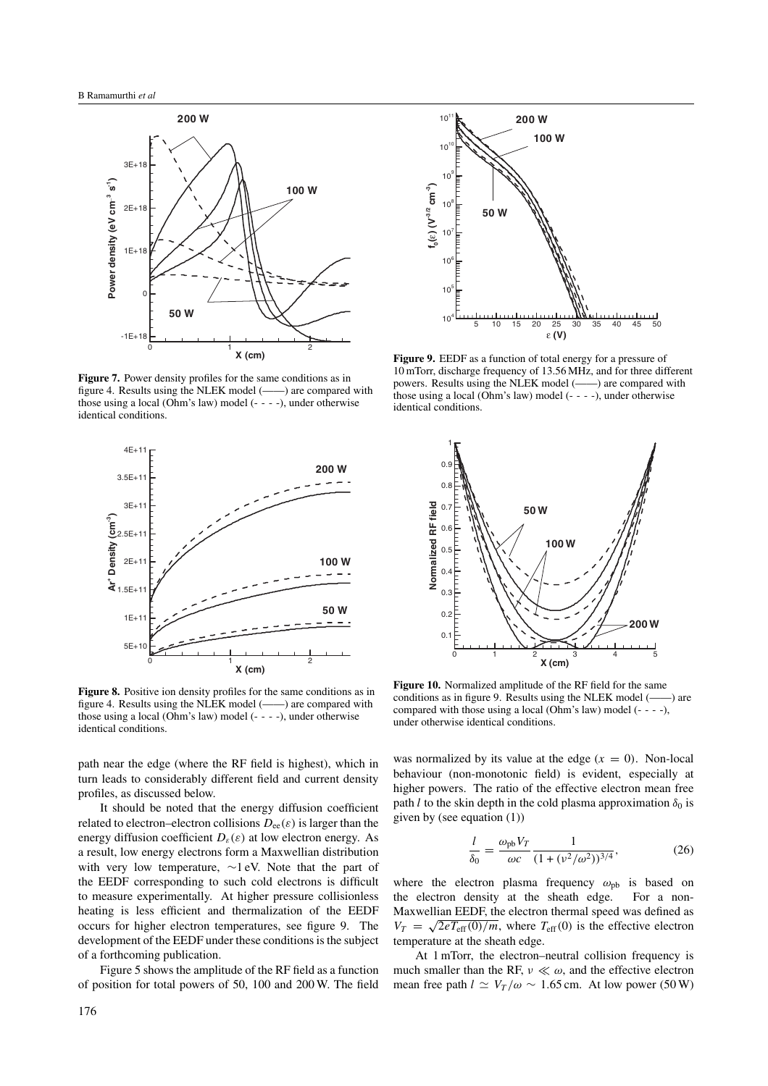

**Figure 7.** Power density profiles for the same conditions as in figure 4. Results using the NLEK model (——) are compared with those using a local (Ohm's law) model (- - - -), under otherwise identical conditions.



**Figure 8.** Positive ion density profiles for the same conditions as in figure 4. Results using the NLEK model (——) are compared with those using a local (Ohm's law) model (- - - -), under otherwise identical conditions.

path near the edge (where the RF field is highest), which in turn leads to considerably different field and current density profiles, as discussed below.

It should be noted that the energy diffusion coefficient related to electron–electron collisions  $D_{ee}(\varepsilon)$  is larger than the energy diffusion coefficient  $D_{\varepsilon}(\varepsilon)$  at low electron energy. As a result, low energy electrons form a Maxwellian distribution with very low temperature, ∼1 eV. Note that the part of the EEDF corresponding to such cold electrons is difficult to measure experimentally. At higher pressure collisionless heating is less efficient and thermalization of the EEDF occurs for higher electron temperatures, see figure 9. The development of the EEDF under these conditions is the subject of a forthcoming publication.

Figure 5 shows the amplitude of the RF field as a function of position for total powers of 50, 100 and 200 W. The field



**Figure 9.** EEDF as a function of total energy for a pressure of 10 mTorr, discharge frequency of 13.56 MHz, and for three different powers. Results using the NLEK model (——) are compared with those using a local (Ohm's law) model (- - - -), under otherwise identical conditions.



**Figure 10.** Normalized amplitude of the RF field for the same conditions as in figure 9. Results using the NLEK model (——) are compared with those using a local (Ohm's law) model (- - - -), under otherwise identical conditions.

was normalized by its value at the edge  $(x = 0)$ . Non-local behaviour (non-monotonic field) is evident, especially at higher powers. The ratio of the effective electron mean free path *l* to the skin depth in the cold plasma approximation  $\delta_0$  is given by (see equation (1))

$$
\frac{l}{\delta_0} = \frac{\omega_{\rm pb} V_T}{\omega c} \frac{1}{(1 + (\nu^2/\omega^2))^{3/4}},\tag{26}
$$

where the electron plasma frequency  $\omega_{\rm ph}$  is based on the electron density at the sheath edge. For a non-Maxwellian EEDF, the electron thermal speed was defined as  $V_T = \sqrt{2eT_{\text{eff}}(0)/m}$ , where  $T_{\text{eff}}(0)$  is the effective electron temperature at the sheath edge.

At 1 mTorr, the electron–neutral collision frequency is much smaller than the RF,  $\nu \ll \omega$ , and the effective electron mean free path  $l \simeq V_T/\omega \sim 1.65$  cm. At low power (50 W)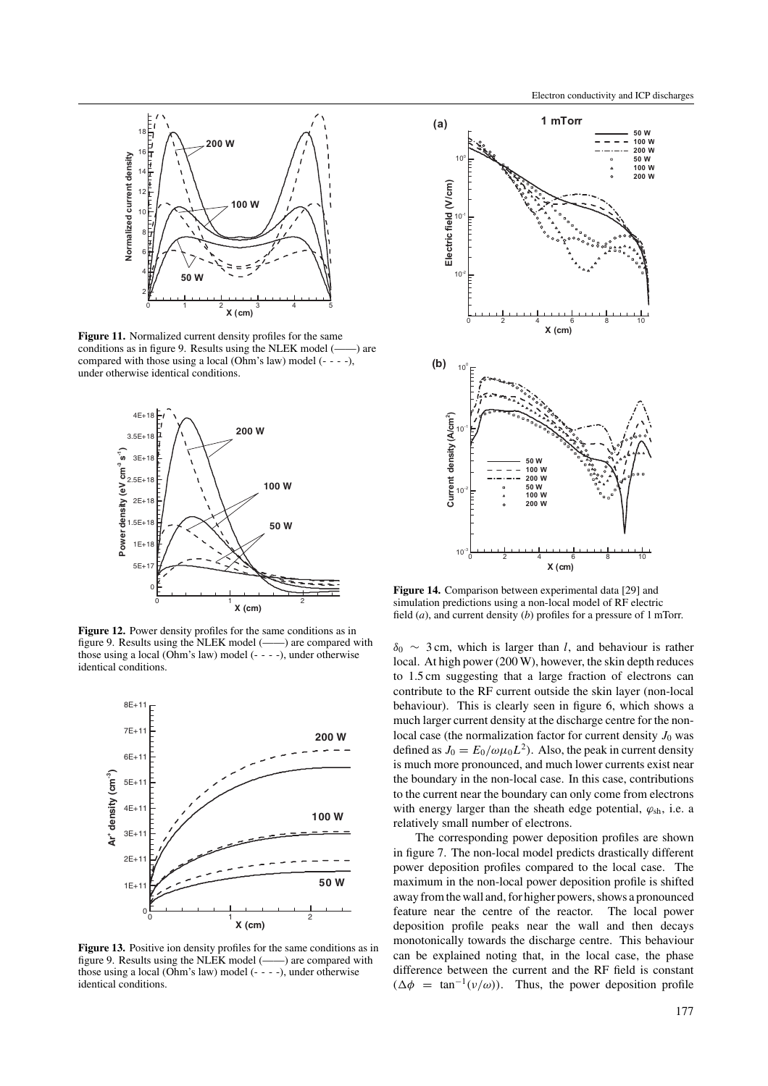

**Figure 11.** Normalized current density profiles for the same conditions as in figure 9. Results using the NLEK model (——) are compared with those using a local (Ohm's law) model (- - - -), under otherwise identical conditions.



**Figure 12.** Power density profiles for the same conditions as in figure 9. Results using the NLEK model (——) are compared with those using a local (Ohm's law) model (- - - -), under otherwise identical conditions.



Figure 13. Positive ion density profiles for the same conditions as in figure 9. Results using the NLEK model (——) are compared with those using a local (Ohm's law) model (- - - -), under otherwise identical conditions.



**Figure 14.** Comparison between experimental data [29] and simulation predictions using a non-local model of RF electric field (*a*), and current density (*b*) profiles for a pressure of 1 mTorr.

*δ*<sup>0</sup> ∼ 3 cm, which is larger than *l*, and behaviour is rather local. At high power (200 W), however, the skin depth reduces to 1.5 cm suggesting that a large fraction of electrons can contribute to the RF current outside the skin layer (non-local behaviour). This is clearly seen in figure 6, which shows a much larger current density at the discharge centre for the nonlocal case (the normalization factor for current density  $J_0$  was defined as  $J_0 = E_0/\omega \mu_0 L^2$ . Also, the peak in current density is much more pronounced, and much lower currents exist near the boundary in the non-local case. In this case, contributions to the current near the boundary can only come from electrons with energy larger than the sheath edge potential, *ϕ*sh, i.e. a relatively small number of electrons.

The corresponding power deposition profiles are shown in figure 7. The non-local model predicts drastically different power deposition profiles compared to the local case. The maximum in the non-local power deposition profile is shifted away from the wall and, for higher powers, shows a pronounced feature near the centre of the reactor. The local power deposition profile peaks near the wall and then decays monotonically towards the discharge centre. This behaviour can be explained noting that, in the local case, the phase difference between the current and the RF field is constant  $(\Delta \phi = \tan^{-1}(v/\omega))$ . Thus, the power deposition profile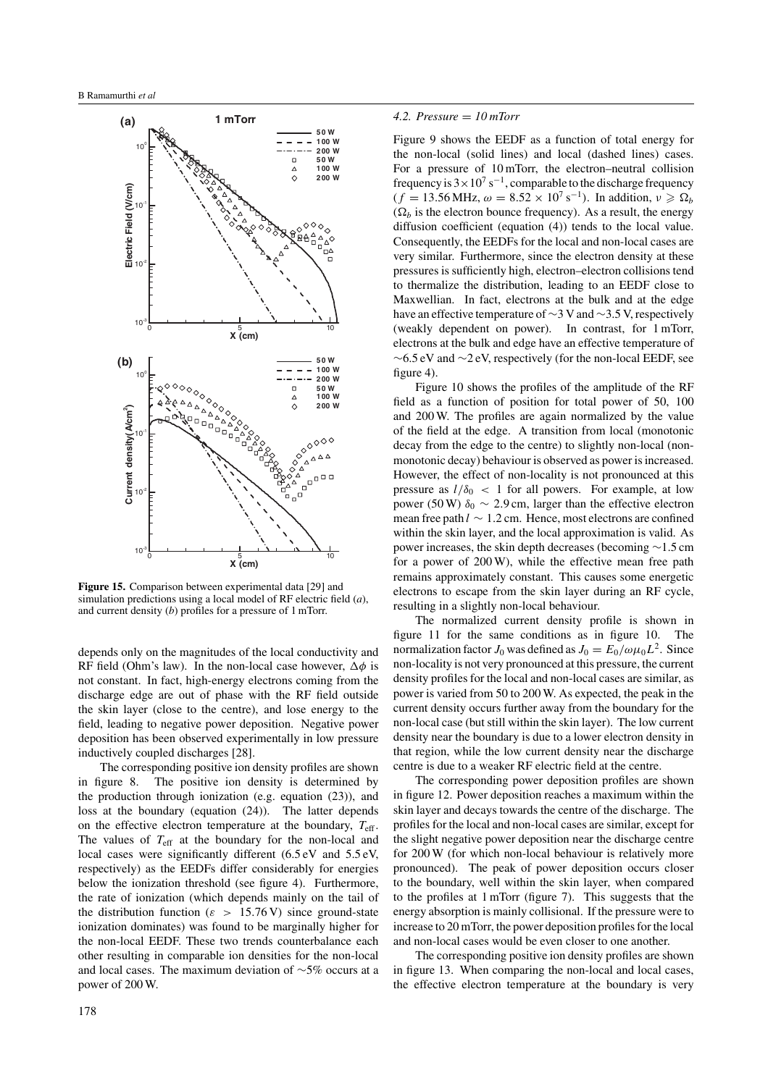

**Figure 15.** Comparison between experimental data [29] and simulation predictions using a local model of RF electric field (*a*), and current density (*b*) profiles for a pressure of 1 mTorr.

depends only on the magnitudes of the local conductivity and RF field (Ohm's law). In the non-local case however,  $\Delta \phi$  is not constant. In fact, high-energy electrons coming from the discharge edge are out of phase with the RF field outside the skin layer (close to the centre), and lose energy to the field, leading to negative power deposition. Negative power deposition has been observed experimentally in low pressure inductively coupled discharges [28].

The corresponding positive ion density profiles are shown in figure 8. The positive ion density is determined by the production through ionization (e.g. equation (23)), and loss at the boundary (equation (24)). The latter depends on the effective electron temperature at the boundary, *T*eff. The values of  $T_{\text{eff}}$  at the boundary for the non-local and local cases were significantly different (6.5 eV and 5.5 eV, respectively) as the EEDFs differ considerably for energies below the ionization threshold (see figure 4). Furthermore, the rate of ionization (which depends mainly on the tail of the distribution function ( $\varepsilon > 15.76$  V) since ground-state ionization dominates) was found to be marginally higher for the non-local EEDF. These two trends counterbalance each other resulting in comparable ion densities for the non-local and local cases. The maximum deviation of ∼5% occurs at a power of 200 W.

#### *4.2. Pressure* = *10 mTorr*

Figure 9 shows the EEDF as a function of total energy for the non-local (solid lines) and local (dashed lines) cases. For a pressure of 10 mTorr, the electron–neutral collision frequency is  $3 \times 10^7$  s<sup>-1</sup>, comparable to the discharge frequency  $(f = 13.56 \text{ MHz}, \omega = 8.52 \times 10^7 \text{ s}^{-1})$ . In addition,  $v \ge \Omega_b$  $(\Omega_b)$  is the electron bounce frequency). As a result, the energy diffusion coefficient (equation (4)) tends to the local value. Consequently, the EEDFs for the local and non-local cases are very similar. Furthermore, since the electron density at these pressures is sufficiently high, electron–electron collisions tend to thermalize the distribution, leading to an EEDF close to Maxwellian. In fact, electrons at the bulk and at the edge have an effective temperature of ∼3 V and ∼3.5 V, respectively (weakly dependent on power). In contrast, for 1 mTorr, electrons at the bulk and edge have an effective temperature of  $\sim$ 6.5 eV and  $\sim$ 2 eV, respectively (for the non-local EEDF, see figure 4).

Figure 10 shows the profiles of the amplitude of the RF field as a function of position for total power of 50, 100 and 200 W. The profiles are again normalized by the value of the field at the edge. A transition from local (monotonic decay from the edge to the centre) to slightly non-local (nonmonotonic decay) behaviour is observed as power is increased. However, the effect of non-locality is not pronounced at this pressure as  $l/\delta_0$  < 1 for all powers. For example, at low power (50 W)  $\delta_0 \sim 2.9$  cm, larger than the effective electron mean free path *l* ∼ 1*.*2 cm. Hence, most electrons are confined within the skin layer, and the local approximation is valid. As power increases, the skin depth decreases (becoming ∼1.5 cm for a power of 200 W), while the effective mean free path remains approximately constant. This causes some energetic electrons to escape from the skin layer during an RF cycle, resulting in a slightly non-local behaviour.

The normalized current density profile is shown in figure 11 for the same conditions as in figure 10. The normalization factor  $J_0$  was defined as  $J_0 = E_0/\omega \mu_0 L^2$ . Since non-locality is not very pronounced at this pressure, the current density profiles for the local and non-local cases are similar, as power is varied from 50 to 200 W. As expected, the peak in the current density occurs further away from the boundary for the non-local case (but still within the skin layer). The low current density near the boundary is due to a lower electron density in that region, while the low current density near the discharge centre is due to a weaker RF electric field at the centre.

The corresponding power deposition profiles are shown in figure 12. Power deposition reaches a maximum within the skin layer and decays towards the centre of the discharge. The profiles for the local and non-local cases are similar, except for the slight negative power deposition near the discharge centre for 200 W (for which non-local behaviour is relatively more pronounced). The peak of power deposition occurs closer to the boundary, well within the skin layer, when compared to the profiles at 1 mTorr (figure 7). This suggests that the energy absorption is mainly collisional. If the pressure were to increase to 20 mTorr, the power deposition profiles for the local and non-local cases would be even closer to one another.

The corresponding positive ion density profiles are shown in figure 13. When comparing the non-local and local cases, the effective electron temperature at the boundary is very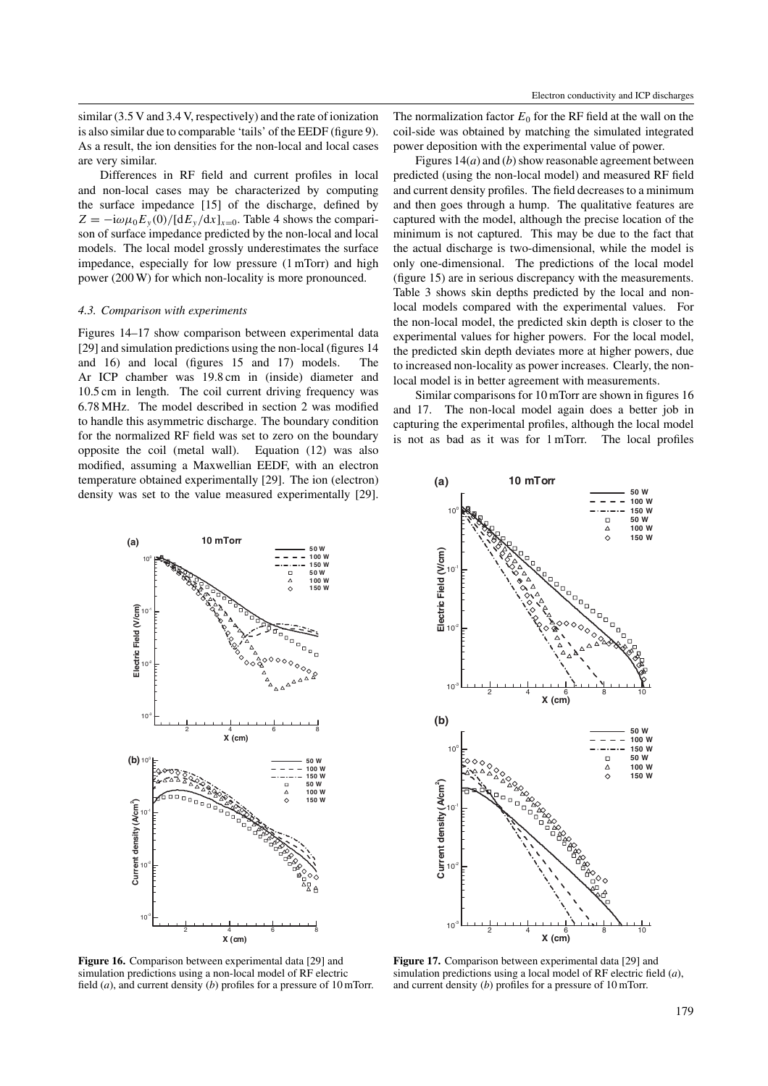similar (3.5 V and 3.4 V, respectively) and the rate of ionization is also similar due to comparable 'tails' of the EEDF (figure 9). As a result, the ion densities for the non-local and local cases are very similar.

Differences in RF field and current profiles in local and non-local cases may be characterized by computing the surface impedance [15] of the discharge, defined by  $Z = -i\omega\mu_0 E_y(0)/[dE_y/dx]_{x=0}$ . Table 4 shows the comparison of surface impedance predicted by the non-local and local models. The local model grossly underestimates the surface impedance, especially for low pressure (1 mTorr) and high power (200 W) for which non-locality is more pronounced.

#### *4.3. Comparison with experiments*

Figures 14–17 show comparison between experimental data [29] and simulation predictions using the non-local (figures 14 and 16) and local (figures 15 and 17) models. The Ar ICP chamber was 19.8 cm in (inside) diameter and 10.5 cm in length. The coil current driving frequency was 6.78 MHz. The model described in section 2 was modified to handle this asymmetric discharge. The boundary condition for the normalized RF field was set to zero on the boundary opposite the coil (metal wall). Equation (12) was also modified, assuming a Maxwellian EEDF, with an electron temperature obtained experimentally [29]. The ion (electron) density was set to the value measured experimentally [29]. The normalization factor  $E_0$  for the RF field at the wall on the coil-side was obtained by matching the simulated integrated power deposition with the experimental value of power.

Figures 14(*a*) and (*b*) show reasonable agreement between predicted (using the non-local model) and measured RF field and current density profiles. The field decreases to a minimum and then goes through a hump. The qualitative features are captured with the model, although the precise location of the minimum is not captured. This may be due to the fact that the actual discharge is two-dimensional, while the model is only one-dimensional. The predictions of the local model (figure 15) are in serious discrepancy with the measurements. Table 3 shows skin depths predicted by the local and nonlocal models compared with the experimental values. For the non-local model, the predicted skin depth is closer to the experimental values for higher powers. For the local model, the predicted skin depth deviates more at higher powers, due to increased non-locality as power increases. Clearly, the nonlocal model is in better agreement with measurements.

Similar comparisons for 10 mTorr are shown in figures 16 and 17. The non-local model again does a better job in capturing the experimental profiles, although the local model is not as bad as it was for 1 mTorr. The local profiles



**Figure 16.** Comparison between experimental data [29] and simulation predictions using a non-local model of RF electric field (*a*), and current density (*b*) profiles for a pressure of 10 mTorr.



**Figure 17.** Comparison between experimental data [29] and simulation predictions using a local model of RF electric field (*a*), and current density (*b*) profiles for a pressure of 10 mTorr.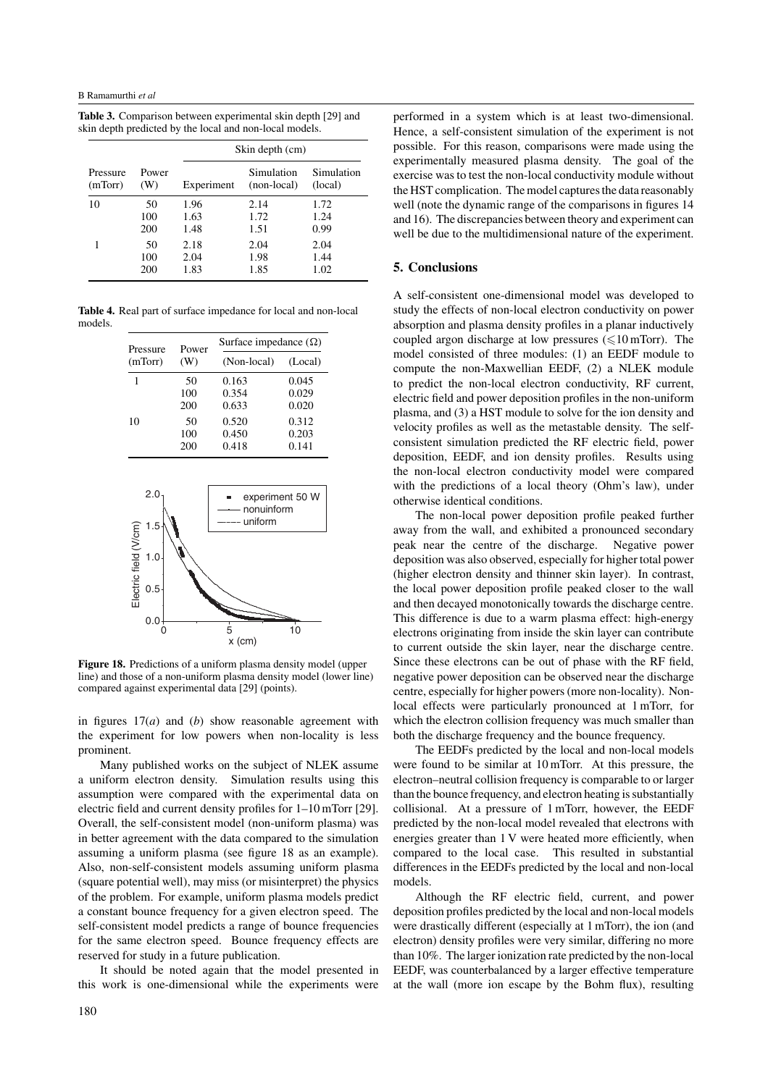**Table 3.** Comparison between experimental skin depth [29] and skin depth predicted by the local and non-local models.

|          |       | Skin depth (cm) |             |            |
|----------|-------|-----------------|-------------|------------|
| Pressure | Power | Experiment      | Simulation  | Simulation |
| (mTorr)  | (W)   |                 | (non-local) | (local)    |
| 10       | 50    | 1.96            | 2.14        | 1.72       |
|          | 100   | 1.63            | 1.72        | 1.24       |
|          | 200   | 1.48            | 1.51        | 0.99       |
| 1        | 50    | 2.18            | 2.04        | 2.04       |
|          | 100   | 2.04            | 1.98        | 1.44       |
|          | 200   | 1.83            | 1.85        | 1.02       |

**Table 4.** Real part of surface impedance for local and non-local models.

| Pressure | Power<br>(W) | Surface impedance $(\Omega)$ |         |  |
|----------|--------------|------------------------------|---------|--|
| (mTorr)  |              | (Non-local)                  | (Local) |  |
|          | 50           | 0.163                        | 0.045   |  |
|          | 100          | 0.354                        | 0.029   |  |
|          | 200          | 0.633                        | 0.020   |  |
| 10       | 50           | 0.520                        | 0.312   |  |
|          | 100          | 0.450                        | 0.203   |  |
|          | 200          | 0.418                        | 0.141   |  |



**Figure 18.** Predictions of a uniform plasma density model (upper line) and those of a non-uniform plasma density model (lower line) compared against experimental data [29] (points).

in figures 17(*a*) and (*b*) show reasonable agreement with the experiment for low powers when non-locality is less prominent.

Many published works on the subject of NLEK assume a uniform electron density. Simulation results using this assumption were compared with the experimental data on electric field and current density profiles for 1–10 mTorr [29]. Overall, the self-consistent model (non-uniform plasma) was in better agreement with the data compared to the simulation assuming a uniform plasma (see figure 18 as an example). Also, non-self-consistent models assuming uniform plasma (square potential well), may miss (or misinterpret) the physics of the problem. For example, uniform plasma models predict a constant bounce frequency for a given electron speed. The self-consistent model predicts a range of bounce frequencies for the same electron speed. Bounce frequency effects are reserved for study in a future publication.

It should be noted again that the model presented in this work is one-dimensional while the experiments were

performed in a system which is at least two-dimensional. Hence, a self-consistent simulation of the experiment is not possible. For this reason, comparisons were made using the experimentally measured plasma density. The goal of the exercise was to test the non-local conductivity module without the HST complication. The model captures the data reasonably well (note the dynamic range of the comparisons in figures 14 and 16). The discrepancies between theory and experiment can well be due to the multidimensional nature of the experiment.

## **5. Conclusions**

A self-consistent one-dimensional model was developed to study the effects of non-local electron conductivity on power absorption and plasma density profiles in a planar inductively coupled argon discharge at low pressures  $(\leq 10 \text{ mTorr})$ . The model consisted of three modules: (1) an EEDF module to compute the non-Maxwellian EEDF, (2) a NLEK module to predict the non-local electron conductivity, RF current, electric field and power deposition profiles in the non-uniform plasma, and (3) a HST module to solve for the ion density and velocity profiles as well as the metastable density. The selfconsistent simulation predicted the RF electric field, power deposition, EEDF, and ion density profiles. Results using the non-local electron conductivity model were compared with the predictions of a local theory (Ohm's law), under otherwise identical conditions.

The non-local power deposition profile peaked further away from the wall, and exhibited a pronounced secondary peak near the centre of the discharge. Negative power deposition was also observed, especially for higher total power (higher electron density and thinner skin layer). In contrast, the local power deposition profile peaked closer to the wall and then decayed monotonically towards the discharge centre. This difference is due to a warm plasma effect: high-energy electrons originating from inside the skin layer can contribute to current outside the skin layer, near the discharge centre. Since these electrons can be out of phase with the RF field, negative power deposition can be observed near the discharge centre, especially for higher powers (more non-locality). Nonlocal effects were particularly pronounced at 1 mTorr, for which the electron collision frequency was much smaller than both the discharge frequency and the bounce frequency.

The EEDFs predicted by the local and non-local models were found to be similar at 10 mTorr. At this pressure, the electron–neutral collision frequency is comparable to or larger than the bounce frequency, and electron heating is substantially collisional. At a pressure of 1 mTorr, however, the EEDF predicted by the non-local model revealed that electrons with energies greater than 1 V were heated more efficiently, when compared to the local case. This resulted in substantial differences in the EEDFs predicted by the local and non-local models.

Although the RF electric field, current, and power deposition profiles predicted by the local and non-local models were drastically different (especially at 1 mTorr), the ion (and electron) density profiles were very similar, differing no more than 10%. The larger ionization rate predicted by the non-local EEDF, was counterbalanced by a larger effective temperature at the wall (more ion escape by the Bohm flux), resulting